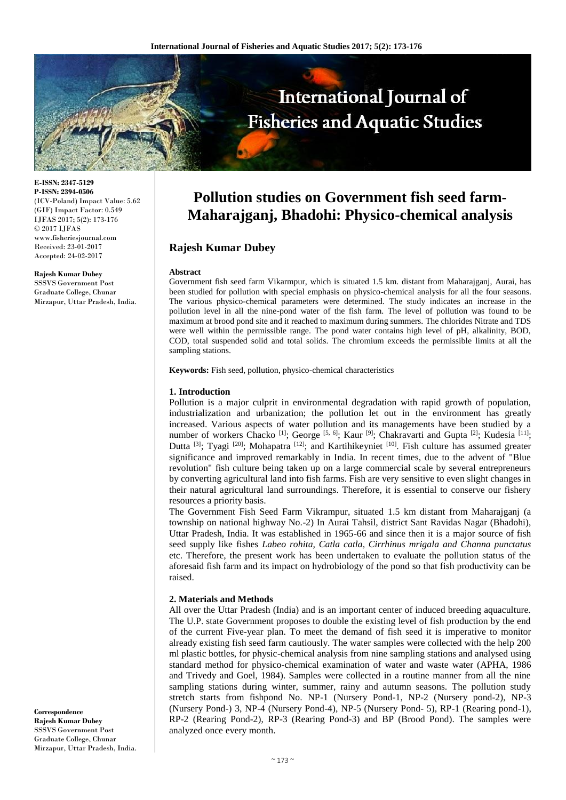

**E-ISSN: 2347-5129 P-ISSN: 2394-0506** (ICV-Poland) Impact Value: 5.62 (GIF) Impact Factor: 0.549 IJFAS 2017; 5(2): 173-176 © 2017 IJFAS www.fisheriesjournal.com Received: 23-01-2017 Accepted: 24-02-2017

#### **Rajesh Kumar Dubey**

SSSVS Government Post Graduate College, Chunar Mirzapur, Uttar Pradesh, India.

**Pollution studies on Government fish seed farm-Maharajganj, Bhadohi: Physico-chemical analysis**

# **Rajesh Kumar Dubey**

### **Abstract**

Government fish seed farm Vikarmpur, which is situated 1.5 km. distant from Maharajganj, Aurai, has been studied for pollution with special emphasis on physico-chemical analysis for all the four seasons. The various physico-chemical parameters were determined. The study indicates an increase in the pollution level in all the nine-pond water of the fish farm. The level of pollution was found to be maximum at brood pond site and it reached to maximum during summers. The chlorides Nitrate and TDS were well within the permissible range. The pond water contains high level of pH, alkalinity, BOD, COD, total suspended solid and total solids. The chromium exceeds the permissible limits at all the sampling stations.

**Keywords:** Fish seed, pollution, physico-chemical characteristics

### **1. Introduction**

Pollution is a major culprit in environmental degradation with rapid growth of population, industrialization and urbanization; the pollution let out in the environment has greatly increased. Various aspects of water pollution and its managements have been studied by a number of workers Chacko <sup>[1]</sup>; George <sup>[5, 6]</sup>; Kaur <sup>[9]</sup>; Chakravarti and Gupta <sup>[2]</sup>; Kudesia <sup>[11]</sup>; Dutta  $[3]$ ; Tyagi  $[20]$ ; Mohapatra  $[12]$ ; and Kartihikeyniet  $[10]$ . Fish culture has assumed greater significance and improved remarkably in India. In recent times, due to the advent of "Blue revolution" fish culture being taken up on a large commercial scale by several entrepreneurs by converting agricultural land into fish farms. Fish are very sensitive to even slight changes in their natural agricultural land surroundings. Therefore, it is essential to conserve our fishery resources a priority basis.

The Government Fish Seed Farm Vikrampur, situated 1.5 km distant from Maharajganj (a township on national highway No.-2) In Aurai Tahsil, district Sant Ravidas Nagar (Bhadohi), Uttar Pradesh, India. It was established in 1965-66 and since then it is a major source of fish seed supply like fishes *Labeo rohita, Catla catla, Cirrhinus mrigala and Channa punctatus* etc. Therefore, the present work has been undertaken to evaluate the pollution status of the aforesaid fish farm and its impact on hydrobiology of the pond so that fish productivity can be raised.

### **2. Materials and Methods**

All over the Uttar Pradesh (India) and is an important center of induced breeding aquaculture. The U.P. state Government proposes to double the existing level of fish production by the end of the current Five-year plan. To meet the demand of fish seed it is imperative to monitor already existing fish seed farm cautiously. The water samples were collected with the help 200 ml plastic bottles, for physic-chemical analysis from nine sampling stations and analysed using standard method for physico-chemical examination of water and waste water (APHA, 1986 and Trivedy and Goel, 1984). Samples were collected in a routine manner from all the nine sampling stations during winter, summer, rainy and autumn seasons. The pollution study stretch starts from fishpond No. NP-1 (Nursery Pond-1, NP-2 (Nursery pond-2), NP-3 (Nursery Pond-) 3, NP-4 (Nursery Pond-4), NP-5 (Nursery Pond- 5), RP-1 (Rearing pond-1), RP-2 (Rearing Pond-2), RP-3 (Rearing Pond-3) and BP (Brood Pond). The samples were analyzed once every month.

**Correspondence Rajesh Kumar Dubey** SSSVS Government Post Graduate College, Chunar Mirzapur, Uttar Pradesh, India.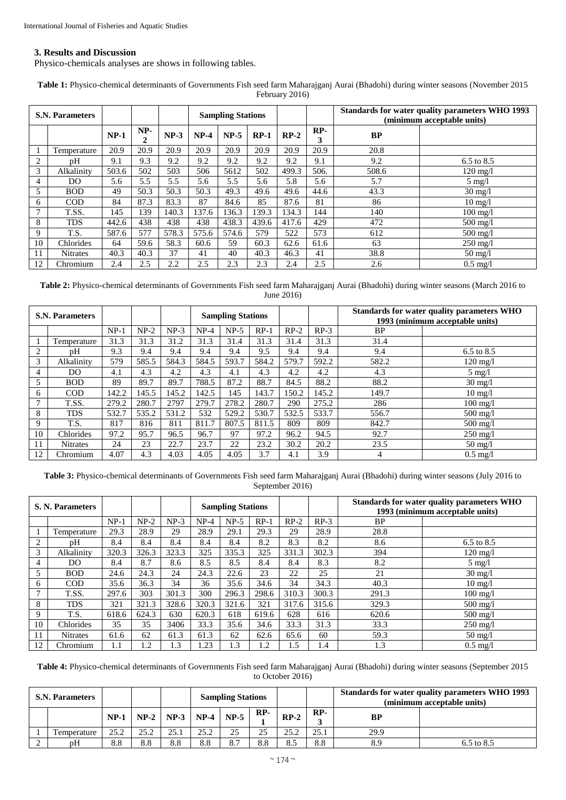## **3. Results and Discussion**

Physico-chemicals analyses are shows in following tables.

| <b>S.N. Parameters</b> |                 |        |          |        | <b>Sampling Stations</b> |        |        |        |          | Standards for water quality parameters WHO 1993<br>(minimum acceptable units) |                    |  |
|------------------------|-----------------|--------|----------|--------|--------------------------|--------|--------|--------|----------|-------------------------------------------------------------------------------|--------------------|--|
|                        |                 | $NP-1$ | NP-<br>2 | $NP-3$ | $NP-4$                   | $NP-5$ | $RP-1$ | $RP-2$ | RP-<br>3 | <b>BP</b>                                                                     |                    |  |
|                        | Temperature     | 20.9   | 20.9     | 20.9   | 20.9                     | 20.9   | 20.9   | 20.9   | 20.9     | 20.8                                                                          |                    |  |
| $\overline{2}$         | pH              | 9.1    | 9.3      | 9.2    | 9.2                      | 9.2    | 9.2    | 9.2    | 9.1      | 9.2                                                                           | 6.5 to 8.5         |  |
| 3                      | Alkalinity      | 503.6  | 502      | 503    | 506                      | 5612   | 502    | 499.3  | 506.     | 508.6                                                                         | $120 \text{ mg}/1$ |  |
| 4                      | DO              | 5.6    | 5.5      | 5.5    | 5.6                      | 5.5    | 5.6    | 5.8    | 5.6      | 5.7                                                                           | $5 \text{ mg}/l$   |  |
| 5                      | <b>BOD</b>      | 49     | 50.3     | 50.3   | 50.3                     | 49.3   | 49.6   | 49.6   | 44.6     | 43.3                                                                          | $30 \text{ mg}/1$  |  |
| 6                      | <b>COD</b>      | 84     | 87.3     | 83.3   | 87                       | 84.6   | 85     | 87.6   | 81       | 86                                                                            | $10 \text{ mg}/l$  |  |
| 7                      | T.SS.           | 145    | 139      | 140.3  | 137.6                    | 136.3  | 139.3  | 134.3  | 144      | 140                                                                           | $100 \text{ mg}/1$ |  |
| 8                      | <b>TDS</b>      | 442.6  | 438      | 438    | 438                      | 438.3  | 439.6  | 417.6  | 429      | 472                                                                           | $500 \text{ mg/l}$ |  |
| 9                      | T.S.            | 587.6  | 577      | 578.3  | 575.6                    | 574.6  | 579    | 522    | 573      | 612                                                                           | $500 \text{ mg}/1$ |  |
| 10                     | Chlorides       | 64     | 59.6     | 58.3   | 60.6                     | 59     | 60.3   | 62.6   | 61.6     | 63                                                                            | $250 \text{ mg}/l$ |  |
| 11                     | <b>Nitrates</b> | 40.3   | 40.3     | 37     | 41                       | 40     | 40.3   | 46.3   | 41       | 38.8                                                                          | $50 \text{ mg}/l$  |  |
| 12                     | Chromium        | 2.4    | 2.5      | 2.2    | 2.5                      | 2.3    | 2.3    | 2.4    | 2.5      | 2.6                                                                           | $0.5 \text{ mg}/l$ |  |

**Table 1:** Physico-chemical determinants of Governments Fish seed farm Maharajganj Aurai (Bhadohi) during winter seasons (November 2015 February 2016)

**Table 2:** Physico-chemical determinants of Governments Fish seed farm Maharajganj Aurai (Bhadohi) during winter seasons (March 2016 to June 2016)

| <b>S.N. Parameters</b> |                 |        |        |        |        | <b>Sampling Stations</b> |        |        |        | Standards for water quality parameters WHO<br>1993 (minimum acceptable units) |                       |
|------------------------|-----------------|--------|--------|--------|--------|--------------------------|--------|--------|--------|-------------------------------------------------------------------------------|-----------------------|
|                        |                 | $NP-1$ | $NP-2$ | $NP-3$ | $NP-4$ | $NP-5$                   | $RP-1$ | $RP-2$ | $RP-3$ | BP.                                                                           |                       |
|                        | Temperature     | 31.3   | 31.3   | 31.2   | 31.3   | 31.4                     | 31.3   | 31.4   | 31.3   | 31.4                                                                          |                       |
| $\overline{2}$         | pΗ              | 9.3    | 9.4    | 9.4    | 9.4    | 9.4                      | 9.5    | 9.4    | 9.4    | 9.4                                                                           | $6.5 \text{ to } 8.5$ |
| 3                      | Alkalinity      | 579    | 585.5  | 584.3  | 584.5  | 593.7                    | 584.2  | 579.7  | 592.2  | 582.2                                                                         | $120 \text{ mg/l}$    |
| 4                      | DO              | 4.1    | 4.3    | 4.2    | 4.3    | 4.1                      | 4.3    | 4.2    | 4.2    | 4.3                                                                           | $5 \text{ mg}/l$      |
|                        | <b>BOD</b>      | 89     | 89.7   | 89.7   | 788.5  | 87.2                     | 88.7   | 84.5   | 88.2   | 88.2                                                                          | $30 \text{ mg/l}$     |
| 6                      | <b>COD</b>      | 142.2  | 145.5  | 145.2  | 142.5  | 145                      | 143.7  | 150.2  | 145.2  | 149.7                                                                         | $10 \text{ mg}/l$     |
|                        | T.SS.           | 279.2  | 280.7  | 2797   | 279.7  | 278.2                    | 280.7  | 290    | 275.2  | 286                                                                           | $100 \text{ mg/l}$    |
| 8                      | <b>TDS</b>      | 532.7  | 535.2  | 531.2  | 532    | 529.2                    | 530.7  | 532.5  | 533.7  | 556.7                                                                         | $500 \text{ mg/l}$    |
| 9                      | T.S.            | 817    | 816    | 811    | 811.7  | 807.5                    | 811.5  | 809    | 809    | 842.7                                                                         | $500 \text{ mg/l}$    |
| 10                     | Chlorides       | 97.2   | 95.7   | 96.5   | 96.7   | 97                       | 97.2   | 96.2   | 94.5   | 92.7                                                                          | $250 \text{ mg}/1$    |
| 11                     | <b>Nitrates</b> | 24     | 23     | 22.7   | 23.7   | 22                       | 23.2   | 30.2   | 20.2   | 23.5                                                                          | $50 \text{ mg}/1$     |
| 12                     | Chromium        | 4.07   | 4.3    | 4.03   | 4.05   | 4.05                     | 3.7    | 4.1    | 3.9    | 4                                                                             | $0.5 \text{ mg}/l$    |

**Table 3:** Physico-chemical determinants of Governments Fish seed farm Maharajganj Aurai (Bhadohi) during winter seasons (July 2016 to September 2016)

| <b>S. N. Parameters</b> |             |        |        |        |        | <b>Sampling Stations</b> |        |        |        | Standards for water quality parameters WHO<br>1993 (minimum acceptable units) |                    |  |
|-------------------------|-------------|--------|--------|--------|--------|--------------------------|--------|--------|--------|-------------------------------------------------------------------------------|--------------------|--|
|                         |             | $NP-1$ | $NP-2$ | $NP-3$ | $NP-4$ | $NP-5$                   | $RP-1$ | $RP-2$ | $RP-3$ | BP                                                                            |                    |  |
|                         | Temperature | 29.3   | 28.9   | 29     | 28.9   | 29.1                     | 29.3   | 29     | 28.9   | 28.8                                                                          |                    |  |
| 2                       | pН          | 8.4    | 8.4    | 8.4    | 8.4    | 8.4                      | 8.2    | 8.3    | 8.2    | 8.6                                                                           | 6.5 to 8.5         |  |
| 3                       | Alkalinity  | 320.3  | 326.3  | 323.3  | 325    | 335.3                    | 325    | 331.3  | 302.3  | 394                                                                           | $120 \text{ mg}/1$ |  |
| 4                       | DO          | 8.4    | 8.7    | 8.6    | 8.5    | 8.5                      | 8.4    | 8.4    | 8.3    | 8.2                                                                           | $5 \text{ mg}/l$   |  |
|                         | <b>BOD</b>  | 24.6   | 24.3   | 24     | 24.3   | 22.6                     | 23     | 22     | 25     | 21                                                                            | $30 \text{ mg/l}$  |  |
| 6                       | <b>COD</b>  | 35.6   | 36.3   | 34     | 36     | 35.6                     | 34.6   | 34     | 34.3   | 40.3                                                                          | $10 \text{ mg}/1$  |  |
|                         | T.SS.       | 297.6  | 303    | 301.3  | 300    | 296.3                    | 298.6  | 310.3  | 300.3  | 291.3                                                                         | $100 \text{ mg/l}$ |  |
| 8                       | <b>TDS</b>  | 321    | 321.3  | 328.6  | 320.3  | 321.6                    | 321    | 317.6  | 315.6  | 329.3                                                                         | $500 \text{ mg/l}$ |  |
| 9                       | T.S.        | 618.6  | 624.3  | 630    | 620.3  | 618                      | 619.6  | 628    | 616    | 620.6                                                                         | $500 \text{ mg/l}$ |  |
| 10                      | Chlorides   | 35     | 35     | 3406   | 33.3   | 35.6                     | 34.6   | 33.3   | 31.3   | 33.3                                                                          | $250 \text{ mg/l}$ |  |
| 11                      | Nitrates    | 61.6   | 62     | 61.3   | 61.3   | 62                       | 62.6   | 65.6   | 60     | 59.3                                                                          | $50 \text{ mg}/l$  |  |
| 12                      | Chromium    | 1.1    | 1.2    | 1.3    | .23    | 1.3                      | 1.2    | 1.5    | 1.4    | 1.3                                                                           | $0.5 \text{ mg}/l$ |  |

**Table 4:** Physico-chemical determinants of Governments Fish seed farm Maharajganj Aurai (Bhadohi) during winter seasons (September 2015 to October 2016)

| <b>S.N. Parameters</b> |             |        |      |                          |      | <b>Sampling Stations</b> |     |        |       | Standards for water quality parameters WHO 1993<br>(minimum acceptable units) |            |  |
|------------------------|-------------|--------|------|--------------------------|------|--------------------------|-----|--------|-------|-------------------------------------------------------------------------------|------------|--|
|                        |             | $NP-1$ |      | $NP-2$   $NP-3$   $NP-4$ |      | $NP-5$                   | RP- | $RP-2$ | $RP-$ | BP                                                                            |            |  |
|                        | Temperature | 25.2   | າ ເາ | 25.1                     | 25.2 | 25                       | 25  | 25.2   | 25.1  | 29.9                                                                          |            |  |
|                        | pΗ          | 8.8    | 8.8  | 8.8                      | 8.8  | 8.7                      | 8.8 | 8.5    | 8.8   | 8.9                                                                           | 6.5 to 8.5 |  |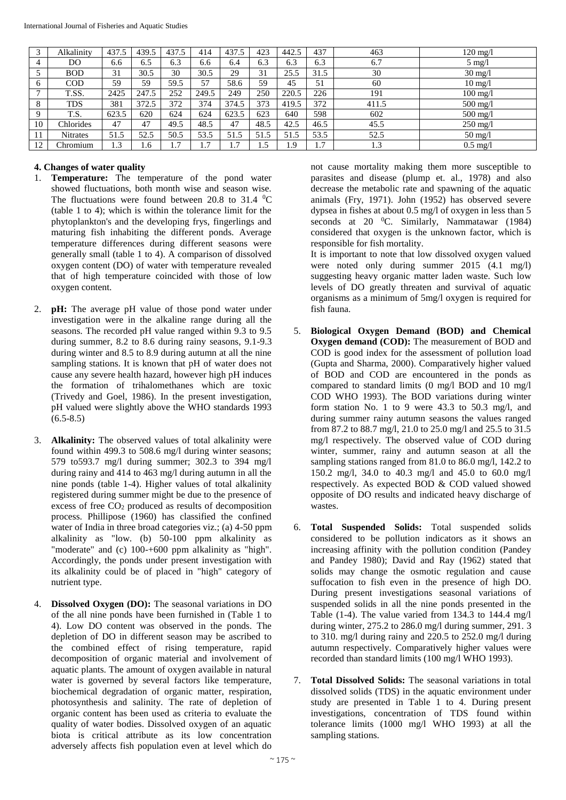|              | Alkalinity      | 437.5 | 439.5 | 437.5        | 414   | 437.5 | 423  | 442.5   | 437  | 463   | $120 \text{ mg}/l$ |
|--------------|-----------------|-------|-------|--------------|-------|-------|------|---------|------|-------|--------------------|
| 4            | DO              | 6.6   | 6.5   | 6.3          | 6.6   | 6.4   | 6.3  | 6.3     | 6.3  | 6.7   | $5 \text{ mg}/l$   |
|              | <b>BOD</b>      | 31    | 30.5  | 30           | 30.5  | 29    | 31   | 25.5    | 31.5 | 30    | $30 \text{ mg}/l$  |
|              | COD             | 59    | 59    | 59.5         | 57    | 58.6  | 59   | 45      | 51   | 60    | $10 \text{ mg}/l$  |
| $\mathbf{r}$ | T.SS.           | 2425  | 247.5 | 252          | 249.5 | 249   | 250  | 220.5   | 226  | 191   | $100$ mg/l         |
| 8            | <b>TDS</b>      | 381   | 372.5 | 372          | 374   | 374.5 | 373  | 419.5   | 372  | 411.5 | $500$ mg/l         |
| $\Omega$     | T.S.            | 623.5 | 620   | 624          | 624   | 623.5 | 623  | 640     | 598  | 602   | $500 \text{ mg/l}$ |
| 10           | Chlorides       | 47    | 47    | 49.5         | 48.5  | 47    | 48.5 | 42.5    | 46.5 | 45.5  | $250$ mg/l         |
|              | <b>Nitrates</b> | 51.5  | 52.5  | 50.5         | 53.5  | 51.5  | 51.5 | 51.5    | 53.5 | 52.5  | $50 \text{ mg}/l$  |
| 12           | Chromium        | 1.3   | 1.6   | $\mathbf{r}$ | 1.7   | 1.7   | 1.5  | $\cdot$ | 1.7  | 1.3   | $0.5 \text{ mg}/l$ |

## **4. Changes of water quality**

- 1. **Temperature:** The temperature of the pond water showed fluctuations, both month wise and season wise. The fluctuations were found between 20.8 to 31.4  $^0$ C (table 1 to 4); which is within the tolerance limit for the phytoplankton's and the developing frys, fingerlings and maturing fish inhabiting the different ponds. Average temperature differences during different seasons were generally small (table 1 to 4). A comparison of dissolved oxygen content (DO) of water with temperature revealed that of high temperature coincided with those of low oxygen content.
- 2. **pH:** The average pH value of those pond water under investigation were in the alkaline range during all the seasons. The recorded pH value ranged within 9.3 to 9.5 during summer, 8.2 to 8.6 during rainy seasons, 9.1-9.3 during winter and 8.5 to 8.9 during autumn at all the nine sampling stations. It is known that pH of water does not cause any severe health hazard, however high pH induces the formation of trihalomethanes which are toxic (Trivedy and Goel, 1986). In the present investigation, pH valued were slightly above the WHO standards 1993  $(6.5 - 8.5)$
- 3. **Alkalinity:** The observed values of total alkalinity were found within 499.3 to 508.6 mg/l during winter seasons; 579 to593.7 mg/l during summer; 302.3 to 394 mg/l during rainy and 414 to 463 mg/l during autumn in all the nine ponds (table 1-4). Higher values of total alkalinity registered during summer might be due to the presence of excess of free CO<sup>2</sup> produced as results of decomposition process. Phillipose (1960) has classified the confined water of India in three broad categories viz.; (a) 4-50 ppm alkalinity as "low. (b) 50-100 ppm alkalinity as "moderate" and (c) 100-+600 ppm alkalinity as "high". Accordingly, the ponds under present investigation with its alkalinity could be of placed in "high" category of nutrient type.
- 4. **Dissolved Oxygen (DO):** The seasonal variations in DO of the all nine ponds have been furnished in (Table 1 to 4). Low DO content was observed in the ponds. The depletion of DO in different season may be ascribed to the combined effect of rising temperature, rapid decomposition of organic material and involvement of aquatic plants. The amount of oxygen available in natural water is governed by several factors like temperature, biochemical degradation of organic matter, respiration, photosynthesis and salinity. The rate of depletion of organic content has been used as criteria to evaluate the quality of water bodies. Dissolved oxygen of an aquatic biota is critical attribute as its low concentration adversely affects fish population even at level which do

not cause mortality making them more susceptible to parasites and disease (plump et. al., 1978) and also decrease the metabolic rate and spawning of the aquatic animals (Fry, 1971). John (1952) has observed severe dypsea in fishes at about 0.5 mg/l of oxygen in less than 5 seconds at 20  $^{\circ}$ C. Similarly, Nammatawar (1984) considered that oxygen is the unknown factor, which is responsible for fish mortality.

It is important to note that low dissolved oxygen valued were noted only during summer 2015 (4.1 mg/l) suggesting heavy organic matter laden waste. Such low levels of DO greatly threaten and survival of aquatic organisms as a minimum of 5mg/l oxygen is required for fish fauna.

- 5. **Biological Oxygen Demand (BOD) and Chemical Oxygen demand (COD):** The measurement of BOD and COD is good index for the assessment of pollution load (Gupta and Sharma, 2000). Comparatively higher valued of BOD and COD are encountered in the ponds as compared to standard limits (0 mg/l BOD and 10 mg/l COD WHO 1993). The BOD variations during winter form station No. 1 to 9 were 43.3 to 50.3 mg/l, and during summer rainy autumn seasons the values ranged from 87.2 to 88.7 mg/l, 21.0 to 25.0 mg/l and 25.5 to 31.5 mg/l respectively. The observed value of COD during winter, summer, rainy and autumn season at all the sampling stations ranged from 81.0 to 86.0 mg/l, 142.2 to 150.2 mg/l, 34.0 to 40.3 mg/l and 45.0 to 60.0 mg/l respectively. As expected BOD & COD valued showed opposite of DO results and indicated heavy discharge of wastes.
- 6. **Total Suspended Solids:** Total suspended solids considered to be pollution indicators as it shows an increasing affinity with the pollution condition (Pandey and Pandey 1980); David and Ray (1962) stated that solids may change the osmotic regulation and cause suffocation to fish even in the presence of high DO. During present investigations seasonal variations of suspended solids in all the nine ponds presented in the Table (1-4). The value varied from 134.3 to 144.4 mg/l during winter, 275.2 to 286.0 mg/l during summer, 291. 3 to 310. mg/l during rainy and 220.5 to 252.0 mg/l during autumn respectively. Comparatively higher values were recorded than standard limits (100 mg/l WHO 1993).
- 7. **Total Dissolved Solids:** The seasonal variations in total dissolved solids (TDS) in the aquatic environment under study are presented in Table 1 to 4. During present investigations, concentration of TDS found within tolerance limits (1000 mg/l WHO 1993) at all the sampling stations.